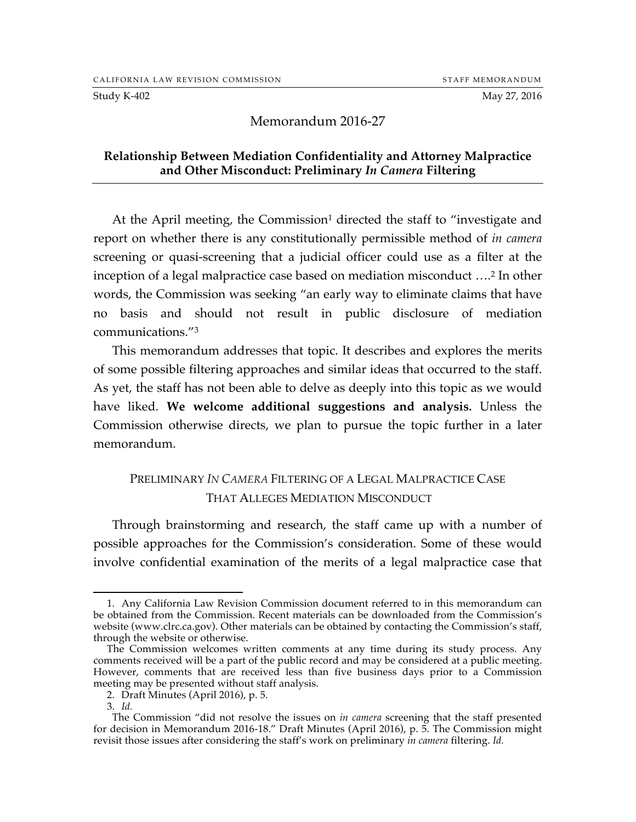Study K-402 May 27, 2016

Memorandum 2016-27

#### **Relationship Between Mediation Confidentiality and Attorney Malpractice and Other Misconduct: Preliminary** *In Camera* **Filtering**

At the April meeting, the Commission<sup>1</sup> directed the staff to "investigate and report on whether there is any constitutionally permissible method of *in camera* screening or quasi-screening that a judicial officer could use as a filter at the inception of a legal malpractice case based on mediation misconduct ….2 In other words, the Commission was seeking "an early way to eliminate claims that have no basis and should not result in public disclosure of mediation communications."3

This memorandum addresses that topic. It describes and explores the merits of some possible filtering approaches and similar ideas that occurred to the staff. As yet, the staff has not been able to delve as deeply into this topic as we would have liked. **We welcome additional suggestions and analysis.** Unless the Commission otherwise directs, we plan to pursue the topic further in a later memorandum.

# PRELIMINARY *IN CAMERA* FILTERING OF A LEGAL MALPRACTICE CASE THAT ALLEGES MEDIATION MISCONDUCT

Through brainstorming and research, the staff came up with a number of possible approaches for the Commission's consideration. Some of these would involve confidential examination of the merits of a legal malpractice case that

 <sup>1.</sup> Any California Law Revision Commission document referred to in this memorandum can be obtained from the Commission. Recent materials can be downloaded from the Commission's website (www.clrc.ca.gov). Other materials can be obtained by contacting the Commission's staff, through the website or otherwise.

The Commission welcomes written comments at any time during its study process. Any comments received will be a part of the public record and may be considered at a public meeting. However, comments that are received less than five business days prior to a Commission meeting may be presented without staff analysis.

<sup>2.</sup> Draft Minutes (April 2016), p. 5.

<sup>3.</sup> *Id.*

The Commission "did not resolve the issues on *in camera* screening that the staff presented for decision in Memorandum 2016-18." Draft Minutes (April 2016), p. 5. The Commission might revisit those issues after considering the staff's work on preliminary *in camera* filtering. *Id.*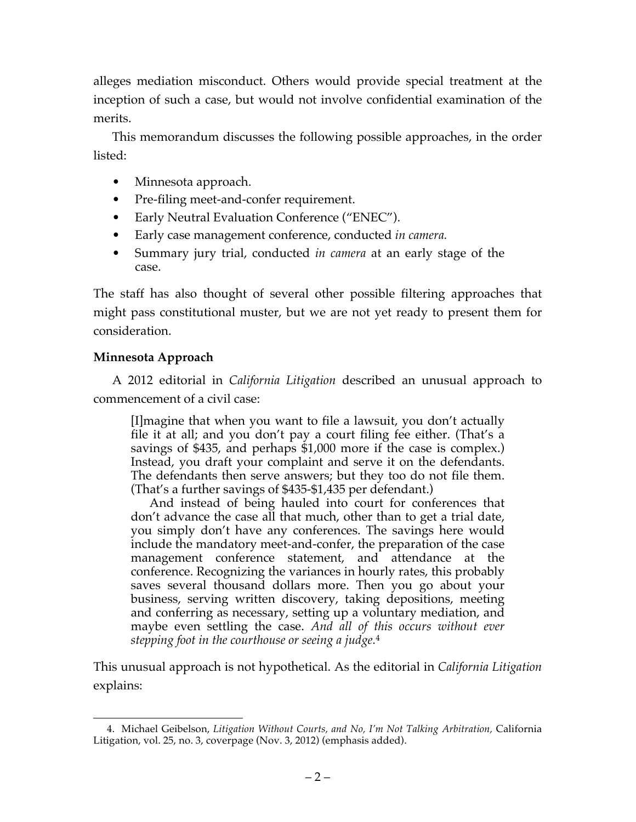alleges mediation misconduct. Others would provide special treatment at the inception of such a case, but would not involve confidential examination of the merits.

This memorandum discusses the following possible approaches, in the order listed:

- Minnesota approach.
- Pre-filing meet-and-confer requirement.
- Early Neutral Evaluation Conference ("ENEC").
- Early case management conference, conducted *in camera.*
- Summary jury trial, conducted *in camera* at an early stage of the case.

The staff has also thought of several other possible filtering approaches that might pass constitutional muster, but we are not yet ready to present them for consideration.

# **Minnesota Approach**

A 2012 editorial in *California Litigation* described an unusual approach to commencement of a civil case:

[I]magine that when you want to file a lawsuit, you don't actually file it at all; and you don't pay a court filing fee either. (That's a savings of \$435, and perhaps \$1,000 more if the case is complex.) Instead, you draft your complaint and serve it on the defendants. The defendants then serve answers; but they too do not file them. (That's a further savings of \$435-\$1,435 per defendant.)

And instead of being hauled into court for conferences that don't advance the case all that much, other than to get a trial date, you simply don't have any conferences. The savings here would include the mandatory meet-and-confer, the preparation of the case management conference statement, and attendance at the conference. Recognizing the variances in hourly rates, this probably saves several thousand dollars more. Then you go about your business, serving written discovery, taking depositions, meeting and conferring as necessary, setting up a voluntary mediation, and maybe even settling the case. *And all of this occurs without ever stepping foot in the courthouse or seeing a judge.*<sup>4</sup>

This unusual approach is not hypothetical. As the editorial in *California Litigation*  explains:

 <sup>4.</sup> Michael Geibelson, *Litigation Without Courts, and No, I'm Not Talking Arbitration,* California Litigation, vol. 25, no. 3, coverpage (Nov. 3, 2012) (emphasis added).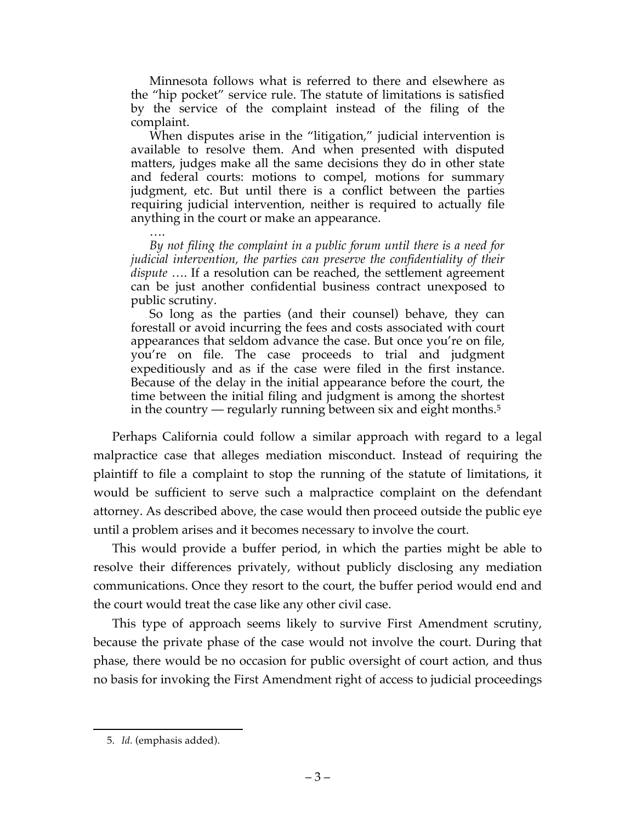Minnesota follows what is referred to there and elsewhere as the "hip pocket" service rule. The statute of limitations is satisfied by the service of the complaint instead of the filing of the complaint.

When disputes arise in the "litigation," judicial intervention is available to resolve them. And when presented with disputed matters, judges make all the same decisions they do in other state and federal courts: motions to compel, motions for summary judgment, etc. But until there is a conflict between the parties requiring judicial intervention, neither is required to actually file anything in the court or make an appearance.

…. *By not filing the complaint in a public forum until there is a need for judicial intervention, the parties can preserve the confidentiality of their dispute* …. If a resolution can be reached, the settlement agreement can be just another confidential business contract unexposed to public scrutiny.

So long as the parties (and their counsel) behave, they can forestall or avoid incurring the fees and costs associated with court appearances that seldom advance the case. But once you're on file, you're on file. The case proceeds to trial and judgment expeditiously and as if the case were filed in the first instance. Because of the delay in the initial appearance before the court, the time between the initial filing and judgment is among the shortest in the country — regularly running between six and eight months.5

Perhaps California could follow a similar approach with regard to a legal malpractice case that alleges mediation misconduct. Instead of requiring the plaintiff to file a complaint to stop the running of the statute of limitations, it would be sufficient to serve such a malpractice complaint on the defendant attorney. As described above, the case would then proceed outside the public eye until a problem arises and it becomes necessary to involve the court.

This would provide a buffer period, in which the parties might be able to resolve their differences privately, without publicly disclosing any mediation communications. Once they resort to the court, the buffer period would end and the court would treat the case like any other civil case.

This type of approach seems likely to survive First Amendment scrutiny, because the private phase of the case would not involve the court. During that phase, there would be no occasion for public oversight of court action, and thus no basis for invoking the First Amendment right of access to judicial proceedings

 <sup>5.</sup> *Id.* (emphasis added).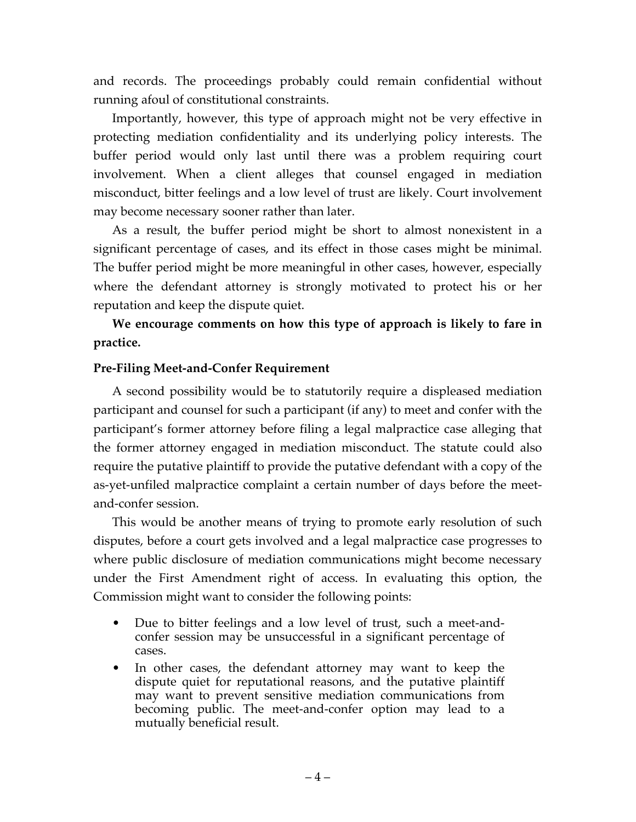and records. The proceedings probably could remain confidential without running afoul of constitutional constraints.

Importantly, however, this type of approach might not be very effective in protecting mediation confidentiality and its underlying policy interests. The buffer period would only last until there was a problem requiring court involvement. When a client alleges that counsel engaged in mediation misconduct, bitter feelings and a low level of trust are likely. Court involvement may become necessary sooner rather than later.

As a result, the buffer period might be short to almost nonexistent in a significant percentage of cases, and its effect in those cases might be minimal. The buffer period might be more meaningful in other cases, however, especially where the defendant attorney is strongly motivated to protect his or her reputation and keep the dispute quiet.

**We encourage comments on how this type of approach is likely to fare in practice.**

# **Pre-Filing Meet-and-Confer Requirement**

A second possibility would be to statutorily require a displeased mediation participant and counsel for such a participant (if any) to meet and confer with the participant's former attorney before filing a legal malpractice case alleging that the former attorney engaged in mediation misconduct. The statute could also require the putative plaintiff to provide the putative defendant with a copy of the as-yet-unfiled malpractice complaint a certain number of days before the meetand-confer session.

This would be another means of trying to promote early resolution of such disputes, before a court gets involved and a legal malpractice case progresses to where public disclosure of mediation communications might become necessary under the First Amendment right of access. In evaluating this option, the Commission might want to consider the following points:

- Due to bitter feelings and a low level of trust, such a meet-andconfer session may be unsuccessful in a significant percentage of cases.
- In other cases, the defendant attorney may want to keep the dispute quiet for reputational reasons, and the putative plaintiff may want to prevent sensitive mediation communications from becoming public. The meet-and-confer option may lead to a mutually beneficial result.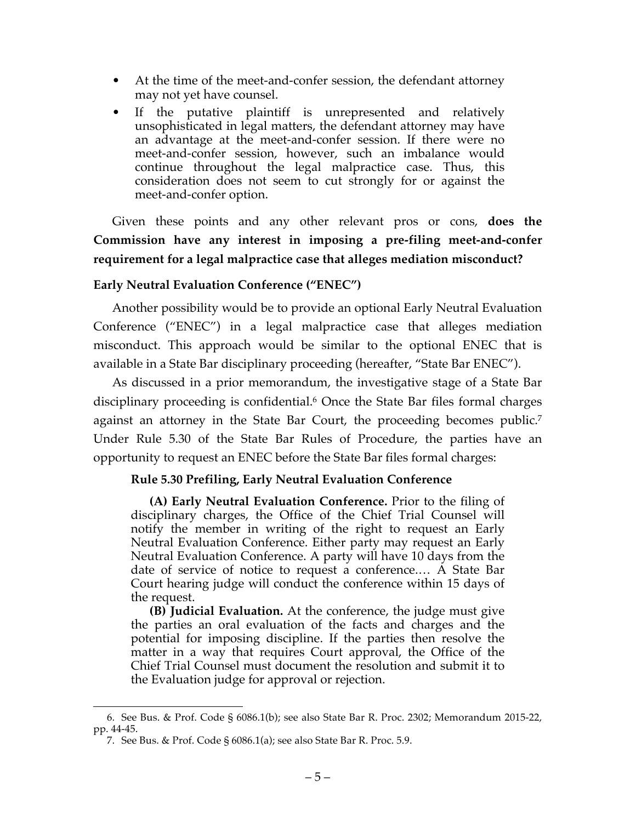- At the time of the meet-and-confer session, the defendant attorney may not yet have counsel.
- If the putative plaintiff is unrepresented and relatively unsophisticated in legal matters, the defendant attorney may have an advantage at the meet-and-confer session. If there were no meet-and-confer session, however, such an imbalance would continue throughout the legal malpractice case. Thus, this consideration does not seem to cut strongly for or against the meet-and-confer option.

Given these points and any other relevant pros or cons, **does the Commission have any interest in imposing a pre-filing meet-and-confer requirement for a legal malpractice case that alleges mediation misconduct?**

## **Early Neutral Evaluation Conference ("ENEC")**

Another possibility would be to provide an optional Early Neutral Evaluation Conference ("ENEC") in a legal malpractice case that alleges mediation misconduct. This approach would be similar to the optional ENEC that is available in a State Bar disciplinary proceeding (hereafter, "State Bar ENEC").

As discussed in a prior memorandum, the investigative stage of a State Bar disciplinary proceeding is confidential.<sup>6</sup> Once the State Bar files formal charges against an attorney in the State Bar Court, the proceeding becomes public.7 Under Rule 5.30 of the State Bar Rules of Procedure, the parties have an opportunity to request an ENEC before the State Bar files formal charges:

# **Rule 5.30 Prefiling, Early Neutral Evaluation Conference**

**(A) Early Neutral Evaluation Conference.** Prior to the filing of disciplinary charges, the Office of the Chief Trial Counsel will notify the member in writing of the right to request an Early Neutral Evaluation Conference. Either party may request an Early Neutral Evaluation Conference. A party will have 10 days from the date of service of notice to request a conference.… A State Bar Court hearing judge will conduct the conference within 15 days of the request.

**(B) Judicial Evaluation.** At the conference, the judge must give the parties an oral evaluation of the facts and charges and the potential for imposing discipline. If the parties then resolve the matter in a way that requires Court approval, the Office of the Chief Trial Counsel must document the resolution and submit it to the Evaluation judge for approval or rejection.

 <sup>6.</sup> See Bus. & Prof. Code § 6086.1(b); see also State Bar R. Proc. 2302; Memorandum 2015-22, pp. 44-45.

<sup>7.</sup> See Bus. & Prof. Code § 6086.1(a); see also State Bar R. Proc. 5.9.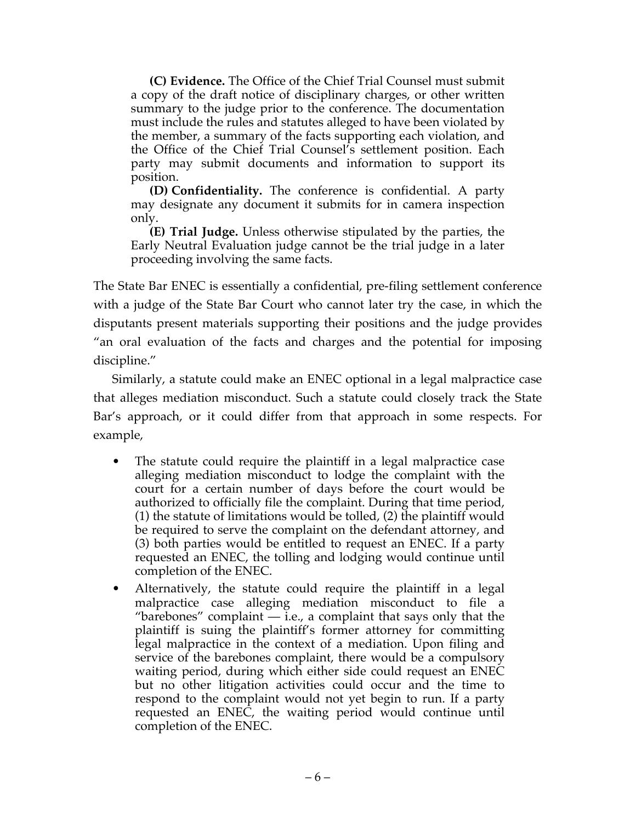**(C) Evidence.** The Office of the Chief Trial Counsel must submit a copy of the draft notice of disciplinary charges, or other written summary to the judge prior to the conference. The documentation must include the rules and statutes alleged to have been violated by the member, a summary of the facts supporting each violation, and the Office of the Chief Trial Counsel's settlement position. Each party may submit documents and information to support its position.

**(D) Confidentiality.** The conference is confidential. A party may designate any document it submits for in camera inspection only.

**(E) Trial Judge.** Unless otherwise stipulated by the parties, the Early Neutral Evaluation judge cannot be the trial judge in a later proceeding involving the same facts.

The State Bar ENEC is essentially a confidential, pre-filing settlement conference with a judge of the State Bar Court who cannot later try the case, in which the disputants present materials supporting their positions and the judge provides "an oral evaluation of the facts and charges and the potential for imposing discipline."

Similarly, a statute could make an ENEC optional in a legal malpractice case that alleges mediation misconduct. Such a statute could closely track the State Bar's approach, or it could differ from that approach in some respects. For example,

- The statute could require the plaintiff in a legal malpractice case alleging mediation misconduct to lodge the complaint with the court for a certain number of days before the court would be authorized to officially file the complaint. During that time period, (1) the statute of limitations would be tolled, (2) the plaintiff would be required to serve the complaint on the defendant attorney, and (3) both parties would be entitled to request an ENEC. If a party requested an ENEC, the tolling and lodging would continue until completion of the ENEC.
- Alternatively, the statute could require the plaintiff in a legal malpractice case alleging mediation misconduct to file a "barebones" complaint  $-$  i.e., a complaint that says only that the plaintiff is suing the plaintiff's former attorney for committing legal malpractice in the context of a mediation. Upon filing and service of the barebones complaint, there would be a compulsory waiting period, during which either side could request an ENEC but no other litigation activities could occur and the time to respond to the complaint would not yet begin to run. If a party requested an ENEC, the waiting period would continue until completion of the ENEC.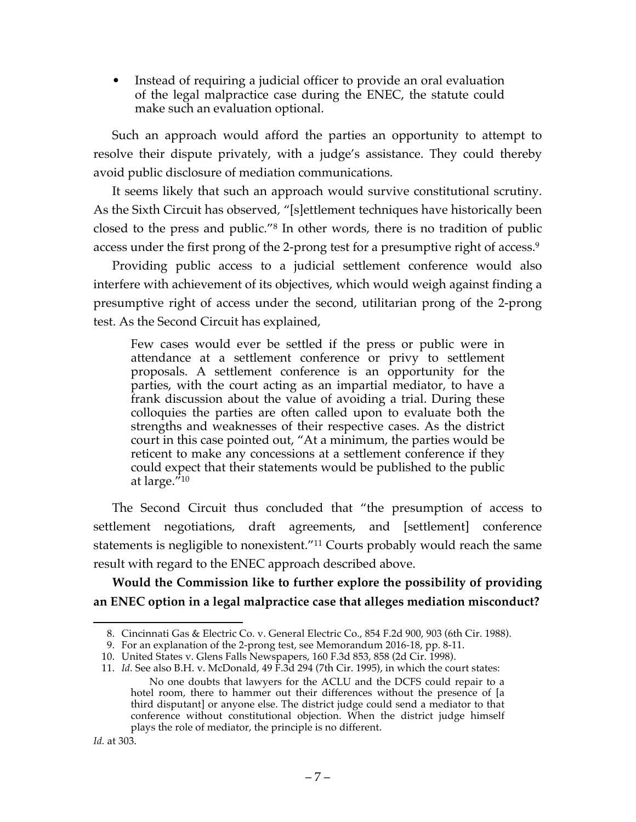Instead of requiring a judicial officer to provide an oral evaluation of the legal malpractice case during the ENEC, the statute could make such an evaluation optional.

Such an approach would afford the parties an opportunity to attempt to resolve their dispute privately, with a judge's assistance. They could thereby avoid public disclosure of mediation communications.

It seems likely that such an approach would survive constitutional scrutiny. As the Sixth Circuit has observed*,* "[s]ettlement techniques have historically been closed to the press and public."8 In other words, there is no tradition of public access under the first prong of the 2-prong test for a presumptive right of access. 9

Providing public access to a judicial settlement conference would also interfere with achievement of its objectives, which would weigh against finding a presumptive right of access under the second, utilitarian prong of the 2-prong test. As the Second Circuit has explained,

Few cases would ever be settled if the press or public were in attendance at a settlement conference or privy to settlement proposals. A settlement conference is an opportunity for the parties, with the court acting as an impartial mediator, to have a frank discussion about the value of avoiding a trial. During these colloquies the parties are often called upon to evaluate both the strengths and weaknesses of their respective cases. As the district court in this case pointed out, "At a minimum, the parties would be reticent to make any concessions at a settlement conference if they could expect that their statements would be published to the public at large."10

The Second Circuit thus concluded that "the presumption of access to settlement negotiations, draft agreements, and [settlement] conference statements is negligible to nonexistent."11 Courts probably would reach the same result with regard to the ENEC approach described above.

# **Would the Commission like to further explore the possibility of providing an ENEC option in a legal malpractice case that alleges mediation misconduct?**

 <sup>8.</sup> Cincinnati Gas & Electric Co. v. General Electric Co., 854 F.2d 900, 903 (6th Cir. 1988).

<sup>9.</sup> For an explanation of the 2-prong test, see Memorandum 2016-18, pp. 8-11.

<sup>10.</sup> United States v. Glens Falls Newspapers, 160 F.3d 853, 858 (2d Cir. 1998).

<sup>11.</sup> *Id.* See also B.H. v. McDonald, 49 F.3d 294 (7th Cir. 1995), in which the court states: No one doubts that lawyers for the ACLU and the DCFS could repair to a hotel room, there to hammer out their differences without the presence of [a third disputant] or anyone else. The district judge could send a mediator to that conference without constitutional objection. When the district judge himself plays the role of mediator, the principle is no different.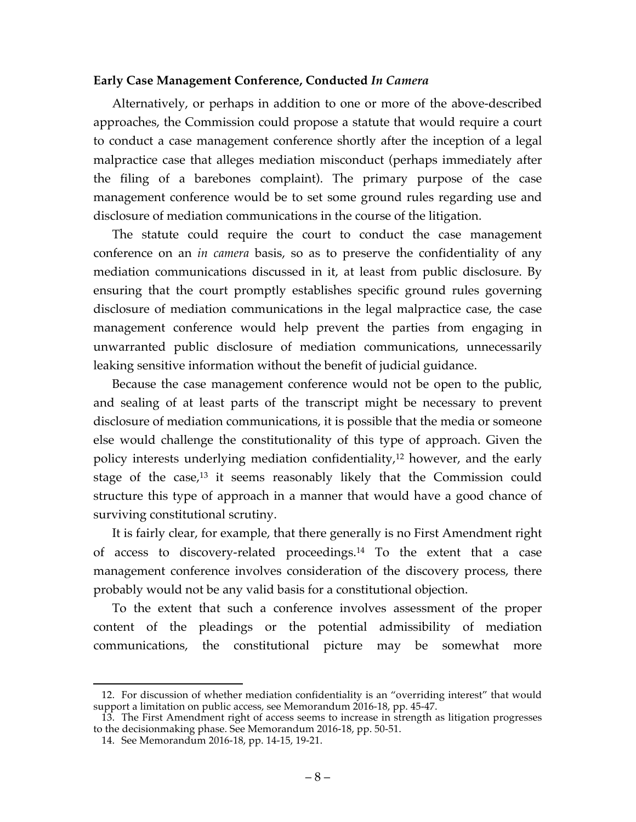#### **Early Case Management Conference, Conducted** *In Camera*

Alternatively, or perhaps in addition to one or more of the above-described approaches, the Commission could propose a statute that would require a court to conduct a case management conference shortly after the inception of a legal malpractice case that alleges mediation misconduct (perhaps immediately after the filing of a barebones complaint). The primary purpose of the case management conference would be to set some ground rules regarding use and disclosure of mediation communications in the course of the litigation.

The statute could require the court to conduct the case management conference on an *in camera* basis, so as to preserve the confidentiality of any mediation communications discussed in it, at least from public disclosure. By ensuring that the court promptly establishes specific ground rules governing disclosure of mediation communications in the legal malpractice case, the case management conference would help prevent the parties from engaging in unwarranted public disclosure of mediation communications, unnecessarily leaking sensitive information without the benefit of judicial guidance.

Because the case management conference would not be open to the public, and sealing of at least parts of the transcript might be necessary to prevent disclosure of mediation communications, it is possible that the media or someone else would challenge the constitutionality of this type of approach. Given the policy interests underlying mediation confidentiality,12 however, and the early stage of the case,13 it seems reasonably likely that the Commission could structure this type of approach in a manner that would have a good chance of surviving constitutional scrutiny.

It is fairly clear, for example, that there generally is no First Amendment right of access to discovery-related proceedings.14 To the extent that a case management conference involves consideration of the discovery process, there probably would not be any valid basis for a constitutional objection.

To the extent that such a conference involves assessment of the proper content of the pleadings or the potential admissibility of mediation communications, the constitutional picture may be somewhat more

 <sup>12.</sup> For discussion of whether mediation confidentiality is an "overriding interest" that would support a limitation on public access, see Memorandum 2016-18, pp. 45-47.

<sup>13.</sup> The First Amendment right of access seems to increase in strength as litigation progresses to the decisionmaking phase. See Memorandum 2016-18, pp. 50-51.

<sup>14.</sup> See Memorandum 2016-18, pp. 14-15, 19-21.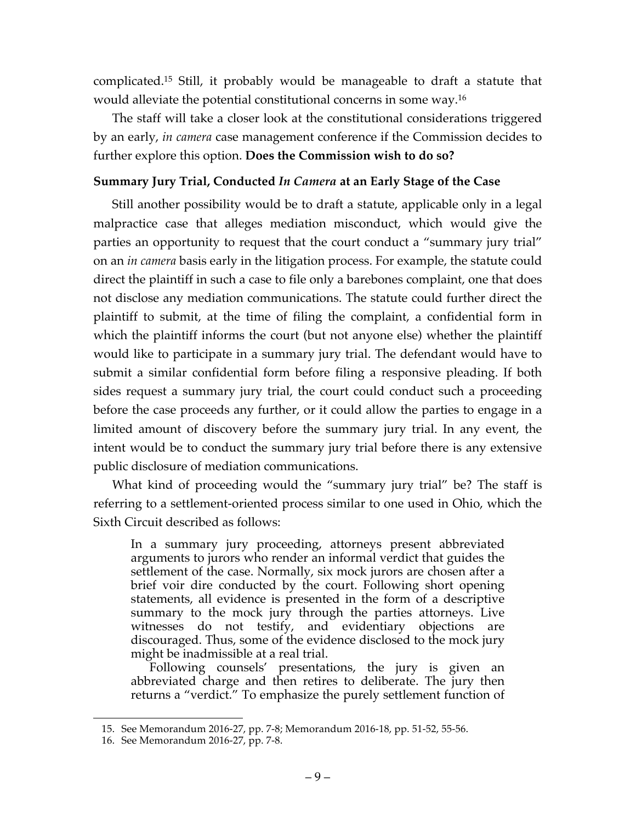complicated. <sup>15</sup> Still, it probably would be manageable to draft a statute that would alleviate the potential constitutional concerns in some way. 16

The staff will take a closer look at the constitutional considerations triggered by an early, *in camera* case management conference if the Commission decides to further explore this option. **Does the Commission wish to do so?**

### **Summary Jury Trial, Conducted** *In Camera* **at an Early Stage of the Case**

Still another possibility would be to draft a statute, applicable only in a legal malpractice case that alleges mediation misconduct, which would give the parties an opportunity to request that the court conduct a "summary jury trial" on an *in camera* basis early in the litigation process. For example, the statute could direct the plaintiff in such a case to file only a barebones complaint, one that does not disclose any mediation communications. The statute could further direct the plaintiff to submit, at the time of filing the complaint, a confidential form in which the plaintiff informs the court (but not anyone else) whether the plaintiff would like to participate in a summary jury trial. The defendant would have to submit a similar confidential form before filing a responsive pleading. If both sides request a summary jury trial, the court could conduct such a proceeding before the case proceeds any further, or it could allow the parties to engage in a limited amount of discovery before the summary jury trial. In any event, the intent would be to conduct the summary jury trial before there is any extensive public disclosure of mediation communications.

What kind of proceeding would the "summary jury trial" be? The staff is referring to a settlement-oriented process similar to one used in Ohio, which the Sixth Circuit described as follows:

In a summary jury proceeding, attorneys present abbreviated arguments to jurors who render an informal verdict that guides the settlement of the case. Normally, six mock jurors are chosen after a brief voir dire conducted by the court. Following short opening statements, all evidence is presented in the form of a descriptive summary to the mock jury through the parties attorneys. Live witnesses do not testify, and evidentiary objections are discouraged. Thus, some of the evidence disclosed to the mock jury might be inadmissible at a real trial.

Following counsels' presentations, the jury is given an abbreviated charge and then retires to deliberate. The jury then returns a "verdict." To emphasize the purely settlement function of

 <sup>15.</sup> See Memorandum 2016-27, pp. 7-8; Memorandum 2016-18, pp. 51-52, 55-56.

<sup>16.</sup> See Memorandum 2016-27, pp. 7-8.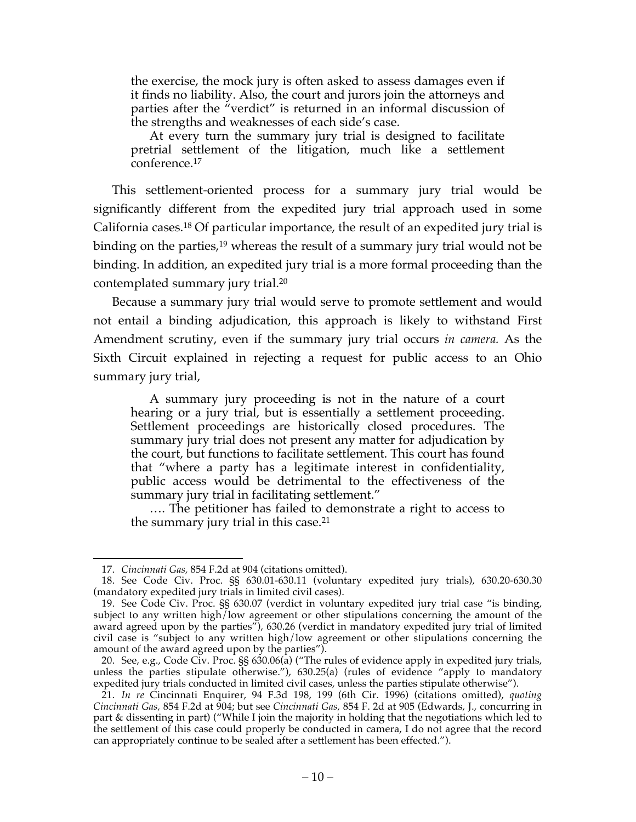the exercise, the mock jury is often asked to assess damages even if it finds no liability. Also, the court and jurors join the attorneys and parties after the "verdict" is returned in an informal discussion of the strengths and weaknesses of each side's case.

At every turn the summary jury trial is designed to facilitate pretrial settlement of the litigation, much like a settlement conference.17

This settlement-oriented process for a summary jury trial would be significantly different from the expedited jury trial approach used in some California cases.18 Of particular importance, the result of an expedited jury trial is binding on the parties,<sup>19</sup> whereas the result of a summary jury trial would not be binding. In addition, an expedited jury trial is a more formal proceeding than the contemplated summary jury trial. 20

Because a summary jury trial would serve to promote settlement and would not entail a binding adjudication, this approach is likely to withstand First Amendment scrutiny, even if the summary jury trial occurs *in camera.* As the Sixth Circuit explained in rejecting a request for public access to an Ohio summary jury trial,

A summary jury proceeding is not in the nature of a court hearing or a jury trial, but is essentially a settlement proceeding. Settlement proceedings are historically closed procedures. The summary jury trial does not present any matter for adjudication by the court, but functions to facilitate settlement. This court has found that "where a party has a legitimate interest in confidentiality, public access would be detrimental to the effectiveness of the summary jury trial in facilitating settlement."

…. The petitioner has failed to demonstrate a right to access to the summary jury trial in this case.21

 <sup>17.</sup> *Cincinnati Gas,* 854 F.2d at 904 (citations omitted).

<sup>18.</sup> See Code Civ. Proc. §§ 630.01-630.11 (voluntary expedited jury trials), 630.20-630.30 (mandatory expedited jury trials in limited civil cases).

<sup>19.</sup> See Code Civ. Proc. §§ 630.07 (verdict in voluntary expedited jury trial case "is binding, subject to any written high/low agreement or other stipulations concerning the amount of the award agreed upon by the parties"), 630.26 (verdict in mandatory expedited jury trial of limited civil case is "subject to any written high/low agreement or other stipulations concerning the amount of the award agreed upon by the parties").

<sup>20.</sup> See, e.g., Code Civ. Proc. §§ 630.06(a) ("The rules of evidence apply in expedited jury trials, unless the parties stipulate otherwise."), 630.25(a) (rules of evidence "apply to mandatory expedited jury trials conducted in limited civil cases, unless the parties stipulate otherwise").

<sup>21.</sup> *In re* Cincinnati Enquirer, 94 F.3d 198, 199 (6th Cir. 1996) (citations omitted), *quoting Cincinnati Gas,* 854 F.2d at 904; but see *Cincinnati Gas,* 854 F. 2d at 905 (Edwards, J., concurring in part & dissenting in part) ("While I join the majority in holding that the negotiations which led to the settlement of this case could properly be conducted in camera, I do not agree that the record can appropriately continue to be sealed after a settlement has been effected.").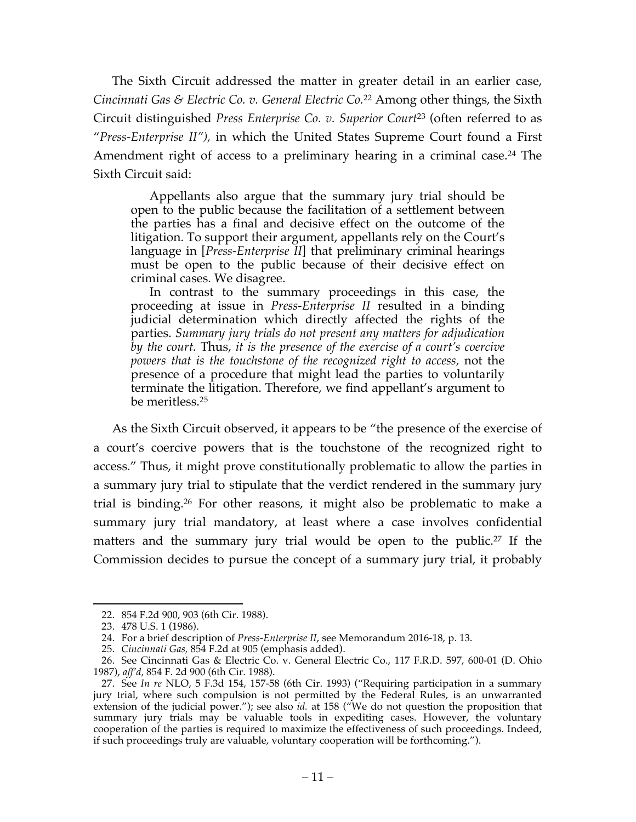The Sixth Circuit addressed the matter in greater detail in an earlier case, *Cincinnati Gas & Electric Co. v. General Electric Co.*<sup>22</sup> Among other things, the Sixth Circuit distinguished *Press Enterprise Co. v. Superior Court*<sup>23</sup> (often referred to as "*Press-Enterprise II"),* in which the United States Supreme Court found a First Amendment right of access to a preliminary hearing in a criminal case. <sup>24</sup> The Sixth Circuit said:

Appellants also argue that the summary jury trial should be open to the public because the facilitation of a settlement between the parties has a final and decisive effect on the outcome of the litigation. To support their argument, appellants rely on the Court's language in [*Press-Enterprise II*] that preliminary criminal hearings must be open to the public because of their decisive effect on criminal cases. We disagree.

In contrast to the summary proceedings in this case, the proceeding at issue in *Press-Enterprise II* resulted in a binding judicial determination which directly affected the rights of the parties. *Summary jury trials do not present any matters for adjudication by the court.* Thus, *it is the presence of the exercise of a court's coercive powers that is the touchstone of the recognized right to access,* not the presence of a procedure that might lead the parties to voluntarily terminate the litigation. Therefore, we find appellant's argument to be meritless.25

As the Sixth Circuit observed, it appears to be "the presence of the exercise of a court's coercive powers that is the touchstone of the recognized right to access." Thus, it might prove constitutionally problematic to allow the parties in a summary jury trial to stipulate that the verdict rendered in the summary jury trial is binding.26 For other reasons, it might also be problematic to make a summary jury trial mandatory, at least where a case involves confidential matters and the summary jury trial would be open to the public. <sup>27</sup> If the Commission decides to pursue the concept of a summary jury trial, it probably

 <sup>22.</sup> 854 F.2d 900, 903 (6th Cir. 1988).

<sup>23.</sup> 478 U.S. 1 (1986).

<sup>24.</sup> For a brief description of *Press-Enterprise II*, see Memorandum 2016-18, p. 13.

<sup>25.</sup> *Cincinnati Gas,* 854 F.2d at 905 (emphasis added).

<sup>26.</sup> See Cincinnati Gas & Electric Co. v. General Electric Co., 117 F.R.D. 597, 600-01 (D. Ohio 1987), *aff'd,* 854 F. 2d 900 (6th Cir. 1988).

<sup>27.</sup> See In re NLO, 5 F.3d 154, 157-58 (6th Cir. 1993) ("Requiring participation in a summary jury trial, where such compulsion is not permitted by the Federal Rules, is an unwarranted extension of the judicial power."); see also *id.* at 158 ("We do not question the proposition that summary jury trials may be valuable tools in expediting cases. However, the voluntary cooperation of the parties is required to maximize the effectiveness of such proceedings. Indeed, if such proceedings truly are valuable, voluntary cooperation will be forthcoming.").